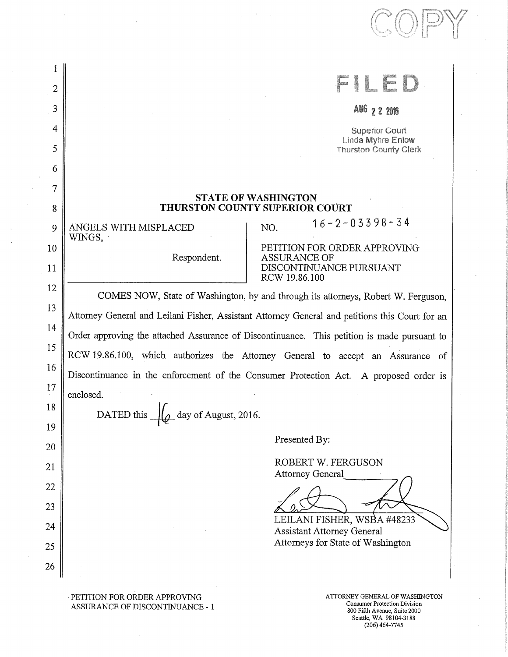| Ŧ<br>2<br>3<br>AU6 2 2 2016<br>4<br><b>Superior Court</b><br>Linda Myhre Enlow<br>5<br><b>Thurston County Clerk</b><br>6<br>7<br><b>STATE OF WASHINGTON</b><br><b>THURSTON COUNTY SUPERIOR COURT</b><br>8<br>$16 - 2 - 03398 - 34$<br>ANGELS WITH MISPLACED<br>NO.<br>9<br>WINGS,<br>PETITION FOR ORDER APPROVING<br>Respondent.<br>ASSURANCE OF<br>DISCONTINUANCE PURSUANT<br>RCW 19.86.100<br>COMES NOW, State of Washington, by and through its attorneys, Robert W. Ferguson,<br>Attorney General and Leilani Fisher, Assistant Attorney General and petitions this Court for an<br>Order approving the attached Assurance of Discontinuance. This petition is made pursuant to<br>RCW 19.86.100, which authorizes the Attorney General to accept an Assurance of<br>Discontinuance in the enforcement of the Consumer Protection Act. A proposed order is<br>enclosed.<br>day of August, 2016.<br>DATED this<br>Presented By:<br>ROBERT W. FERGUSON<br>Attorney General<br>LEILANI FISHER, WSBA #48233<br><b>Assistant Attorney General</b><br>Attorneys for State of Washington |    |  |  |  |
|---------------------------------------------------------------------------------------------------------------------------------------------------------------------------------------------------------------------------------------------------------------------------------------------------------------------------------------------------------------------------------------------------------------------------------------------------------------------------------------------------------------------------------------------------------------------------------------------------------------------------------------------------------------------------------------------------------------------------------------------------------------------------------------------------------------------------------------------------------------------------------------------------------------------------------------------------------------------------------------------------------------------------------------------------------------------------------------|----|--|--|--|
|                                                                                                                                                                                                                                                                                                                                                                                                                                                                                                                                                                                                                                                                                                                                                                                                                                                                                                                                                                                                                                                                                       |    |  |  |  |
|                                                                                                                                                                                                                                                                                                                                                                                                                                                                                                                                                                                                                                                                                                                                                                                                                                                                                                                                                                                                                                                                                       |    |  |  |  |
|                                                                                                                                                                                                                                                                                                                                                                                                                                                                                                                                                                                                                                                                                                                                                                                                                                                                                                                                                                                                                                                                                       |    |  |  |  |
|                                                                                                                                                                                                                                                                                                                                                                                                                                                                                                                                                                                                                                                                                                                                                                                                                                                                                                                                                                                                                                                                                       |    |  |  |  |
|                                                                                                                                                                                                                                                                                                                                                                                                                                                                                                                                                                                                                                                                                                                                                                                                                                                                                                                                                                                                                                                                                       |    |  |  |  |
|                                                                                                                                                                                                                                                                                                                                                                                                                                                                                                                                                                                                                                                                                                                                                                                                                                                                                                                                                                                                                                                                                       |    |  |  |  |
|                                                                                                                                                                                                                                                                                                                                                                                                                                                                                                                                                                                                                                                                                                                                                                                                                                                                                                                                                                                                                                                                                       |    |  |  |  |
|                                                                                                                                                                                                                                                                                                                                                                                                                                                                                                                                                                                                                                                                                                                                                                                                                                                                                                                                                                                                                                                                                       |    |  |  |  |
|                                                                                                                                                                                                                                                                                                                                                                                                                                                                                                                                                                                                                                                                                                                                                                                                                                                                                                                                                                                                                                                                                       |    |  |  |  |
|                                                                                                                                                                                                                                                                                                                                                                                                                                                                                                                                                                                                                                                                                                                                                                                                                                                                                                                                                                                                                                                                                       |    |  |  |  |
|                                                                                                                                                                                                                                                                                                                                                                                                                                                                                                                                                                                                                                                                                                                                                                                                                                                                                                                                                                                                                                                                                       | 10 |  |  |  |
|                                                                                                                                                                                                                                                                                                                                                                                                                                                                                                                                                                                                                                                                                                                                                                                                                                                                                                                                                                                                                                                                                       | 11 |  |  |  |
|                                                                                                                                                                                                                                                                                                                                                                                                                                                                                                                                                                                                                                                                                                                                                                                                                                                                                                                                                                                                                                                                                       | 12 |  |  |  |
|                                                                                                                                                                                                                                                                                                                                                                                                                                                                                                                                                                                                                                                                                                                                                                                                                                                                                                                                                                                                                                                                                       | 13 |  |  |  |
|                                                                                                                                                                                                                                                                                                                                                                                                                                                                                                                                                                                                                                                                                                                                                                                                                                                                                                                                                                                                                                                                                       | 14 |  |  |  |
|                                                                                                                                                                                                                                                                                                                                                                                                                                                                                                                                                                                                                                                                                                                                                                                                                                                                                                                                                                                                                                                                                       | 15 |  |  |  |
|                                                                                                                                                                                                                                                                                                                                                                                                                                                                                                                                                                                                                                                                                                                                                                                                                                                                                                                                                                                                                                                                                       | 16 |  |  |  |
|                                                                                                                                                                                                                                                                                                                                                                                                                                                                                                                                                                                                                                                                                                                                                                                                                                                                                                                                                                                                                                                                                       | 17 |  |  |  |
|                                                                                                                                                                                                                                                                                                                                                                                                                                                                                                                                                                                                                                                                                                                                                                                                                                                                                                                                                                                                                                                                                       | 18 |  |  |  |
|                                                                                                                                                                                                                                                                                                                                                                                                                                                                                                                                                                                                                                                                                                                                                                                                                                                                                                                                                                                                                                                                                       | 19 |  |  |  |
|                                                                                                                                                                                                                                                                                                                                                                                                                                                                                                                                                                                                                                                                                                                                                                                                                                                                                                                                                                                                                                                                                       | 20 |  |  |  |
|                                                                                                                                                                                                                                                                                                                                                                                                                                                                                                                                                                                                                                                                                                                                                                                                                                                                                                                                                                                                                                                                                       | 21 |  |  |  |
|                                                                                                                                                                                                                                                                                                                                                                                                                                                                                                                                                                                                                                                                                                                                                                                                                                                                                                                                                                                                                                                                                       | 22 |  |  |  |
|                                                                                                                                                                                                                                                                                                                                                                                                                                                                                                                                                                                                                                                                                                                                                                                                                                                                                                                                                                                                                                                                                       | 23 |  |  |  |
|                                                                                                                                                                                                                                                                                                                                                                                                                                                                                                                                                                                                                                                                                                                                                                                                                                                                                                                                                                                                                                                                                       | 24 |  |  |  |
|                                                                                                                                                                                                                                                                                                                                                                                                                                                                                                                                                                                                                                                                                                                                                                                                                                                                                                                                                                                                                                                                                       | 25 |  |  |  |
|                                                                                                                                                                                                                                                                                                                                                                                                                                                                                                                                                                                                                                                                                                                                                                                                                                                                                                                                                                                                                                                                                       | 26 |  |  |  |
|                                                                                                                                                                                                                                                                                                                                                                                                                                                                                                                                                                                                                                                                                                                                                                                                                                                                                                                                                                                                                                                                                       |    |  |  |  |

 $\mathcal{A}_\mathrm{c} = \mathcal{A}_\mathrm{c} = \mathcal{A}_\mathrm{c}$ 

 $\hat{\boldsymbol{\beta}}$ 

 $\sim$ 

 $\bar{\bar{z}}$ 

 $\bar{z}$ 

PETITION FOR ORDER APPROVING ASSURANCE OF DISCONTINUANCE - I

ATTORNEY GENERAL OF WASHINGTON Consumer Protection Division 800 Fifth Avenue, Suite 2000 Seattle, WA 98104-3188 (206) 464-7745

........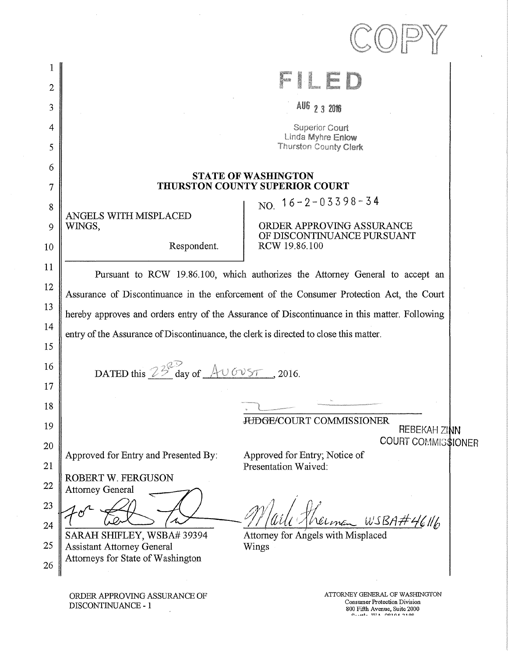| $\overline{2}$ |                                                                                                                                                                                           | el<br>Heresa<br>Heresa<br>$\frac{1}{2}$                                                        |  |
|----------------|-------------------------------------------------------------------------------------------------------------------------------------------------------------------------------------------|------------------------------------------------------------------------------------------------|--|
| 3              |                                                                                                                                                                                           | AU6 2 3 2016                                                                                   |  |
| 4              |                                                                                                                                                                                           | <b>Superior Court</b>                                                                          |  |
| 5              |                                                                                                                                                                                           | Linda Myhre Enlow<br>Thurston County Clerk                                                     |  |
| 6              |                                                                                                                                                                                           |                                                                                                |  |
| 7              |                                                                                                                                                                                           | <b>STATE OF WASHINGTON</b><br><b>THURSTON COUNTY SUPERIOR COURT</b>                            |  |
| 8              |                                                                                                                                                                                           | NO. $16 - 2 - 03398 - 34$                                                                      |  |
| 9              | ANGELS WITH MISPLACED<br>WINGS,                                                                                                                                                           | ORDER APPROVING ASSURANCE                                                                      |  |
| 10             | Respondent.                                                                                                                                                                               | OF DISCONTINUANCE PURSUANT<br>RCW 19.86.100                                                    |  |
| 11             |                                                                                                                                                                                           | Pursuant to RCW 19.86.100, which authorizes the Attorney General to accept an                  |  |
| 12             |                                                                                                                                                                                           |                                                                                                |  |
| 13             | Assurance of Discontinuance in the enforcement of the Consumer Protection Act, the Court<br>hereby approves and orders entry of the Assurance of Discontinuance in this matter. Following |                                                                                                |  |
| 14             |                                                                                                                                                                                           |                                                                                                |  |
| 15             | entry of the Assurance of Discontinuance, the clerk is directed to close this matter.                                                                                                     |                                                                                                |  |
| 16             | DATED this $23^{\circ}$ day of $\triangle$ U GVST, 2016.                                                                                                                                  |                                                                                                |  |
| 17             |                                                                                                                                                                                           |                                                                                                |  |
| 18             |                                                                                                                                                                                           |                                                                                                |  |
| 19             |                                                                                                                                                                                           | <b>JUDGE/COURT COMMISSIONER</b><br>REBEKAH ZINN                                                |  |
| 20             |                                                                                                                                                                                           | <b>COURT COMMIS\$IONER</b>                                                                     |  |
| 21             | Approved for Entry and Presented By:                                                                                                                                                      | Approved for Entry; Notice of<br>Presentation Waived:                                          |  |
| 22             | ROBERT W. FERGUSON<br><b>Attorney General</b>                                                                                                                                             |                                                                                                |  |
| 23             |                                                                                                                                                                                           |                                                                                                |  |
| 24             |                                                                                                                                                                                           | . wsba#                                                                                        |  |
| 25             | SARAH SHIFLEY, WSBA# 39394<br><b>Assistant Attorney General</b>                                                                                                                           | Attorney for Angels with Misplaced<br>Wings                                                    |  |
| 26             | Attorneys for State of Washington                                                                                                                                                         |                                                                                                |  |
|                | ORDER APPROVING ASSURANCE OF<br>DISCONTINUANCE - 1                                                                                                                                        | ATTORNEY GENERAL OF WASHINGTON<br>Consumer Protection Division<br>800 Fifth Avenue, Suite 2000 |  |

 $\sim$ 

 $\sim$   $\sim$ 

 $\sim$ 

800 Fifth Avenue, Suite 2000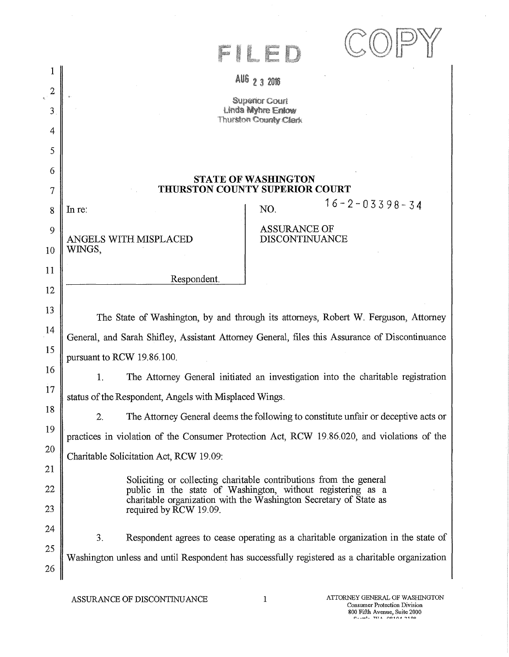|                | L<br>F                                                                                                                           |  |  |  |  |
|----------------|----------------------------------------------------------------------------------------------------------------------------------|--|--|--|--|
|                | AU6 2 3 2016                                                                                                                     |  |  |  |  |
| $\overline{2}$ | <b>Superior Court</b>                                                                                                            |  |  |  |  |
| 3              | Linda Myhre Enlow<br><b>Thurston County Clerk</b>                                                                                |  |  |  |  |
| 4              |                                                                                                                                  |  |  |  |  |
| 5              |                                                                                                                                  |  |  |  |  |
| 6              | <b>STATE OF WASHINGTON</b>                                                                                                       |  |  |  |  |
| 7              | THURSTON COUNTY SUPERIOR COURT                                                                                                   |  |  |  |  |
| 8              | $16 - 2 - 03398 - 34$<br>NO.<br>In re:                                                                                           |  |  |  |  |
| 9              | <b>ASSURANCE OF</b>                                                                                                              |  |  |  |  |
| 10             | <b>DISCONTINUANCE</b><br>ANGELS WITH MISPLACED<br>WINGS,                                                                         |  |  |  |  |
| 11             |                                                                                                                                  |  |  |  |  |
| 12             | Respondent.                                                                                                                      |  |  |  |  |
| 13             |                                                                                                                                  |  |  |  |  |
| 14             | The State of Washington, by and through its attorneys, Robert W. Ferguson, Attorney                                              |  |  |  |  |
| 15             | General, and Sarah Shifley, Assistant Attorney General, files this Assurance of Discontinuance                                   |  |  |  |  |
| 16             | pursuant to RCW 19.86.100.                                                                                                       |  |  |  |  |
| 17             | The Attorney General initiated an investigation into the charitable registration<br>1.                                           |  |  |  |  |
| 18             | status of the Respondent, Angels with Misplaced Wings.                                                                           |  |  |  |  |
| 19             | The Attorney General deems the following to constitute unfair or deceptive acts or<br>2.                                         |  |  |  |  |
|                | practices in violation of the Consumer Protection Act, RCW 19.86.020, and violations of the                                      |  |  |  |  |
| 20             | Charitable Solicitation Act, RCW 19.09:                                                                                          |  |  |  |  |
| 21             | Soliciting or collecting charitable contributions from the general                                                               |  |  |  |  |
| 22             | public in the state of Washington, without registering as a<br>charitable organization with the Washington Secretary of State as |  |  |  |  |
| 23             | required by RCW 19.09.                                                                                                           |  |  |  |  |
| 24             | Respondent agrees to cease operating as a charitable organization in the state of<br>3.                                          |  |  |  |  |
| 25             | Washington unless and until Respondent has successfully registered as a charitable organization                                  |  |  |  |  |
| 26             |                                                                                                                                  |  |  |  |  |

 $\bar{z}$ 

 $\hat{\mathcal{A}}$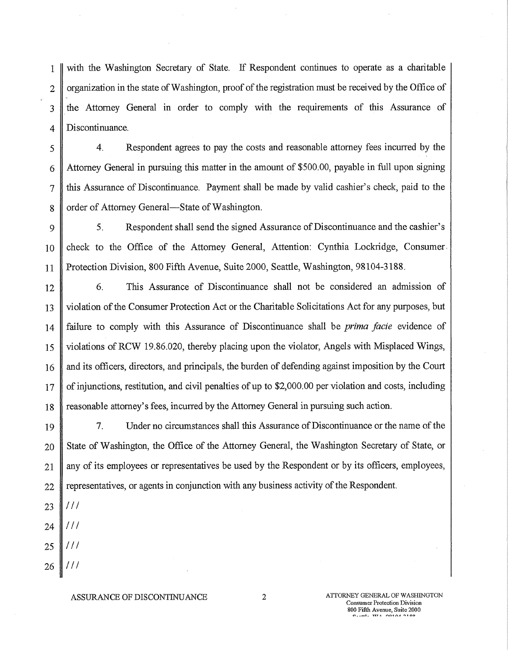I with the Washington Secretary of State. If Respondent continues to operate as a charitable 2 organization in the state of Washington, proof of the registration must be received by the Office of 3 the Attorney General in order to comply with the requirements of this Assurance of 4 Discontinuance.

5 4. Respondent agrees to pay the costs and reasonable attorney fees incurred by the 6 Attorney General in pursuing this matter in the amount of \$500.00, payable in full upon signing 7 this Assurance of Discontinuance. Payment shall be made by valid cashier's check, paid to the 8 order of Attorney General—State of Washington.

9 5. Respondent shall send the signed Assurance of Discontinuance and the cashier's 10 check to the Office of the Attorney General, Attention: Cynthia Lockridge, Consumer, 11 Protection Division, 800 Fifth Avenue, Suite 2000, Seattle, Washington, 98104-3188.

12 6. This Assurance of Discontinuance shall not be considered an admission of 13 violation of the Consumer Protection Act or the Charitable Solicitations Act for any purposes, but 14 failure to comply with this Assurance of Discontinuance shall be *prima facie* evidence of 15 violations of RCW 19.86.020, thereby placing upon the violator, Angels with Misplaced Wings, 16 and its officers, directors, and principals, the burden of defending against imposition by the Court 17 | of injunctions, restitution, and civil penalties of up to \$2,000.00 per violation and costs, including 18 Treasonable attorney's fees, incurred by the Attorney General in pursuing such action.

19 7. Under no circumstances shall this Assurance of Discontinuance or the name of the 20 State of Washington, the Office of the Attorney General, the Washington Secretary of State, or 21 || any of its employees or representatives be used by the Respondent or by its officers, employees,  $22$  representatives, or agents in conjunction with any business activity of the Respondent.

- $111$ 23
- /// 24
- 25  $111$

///

26